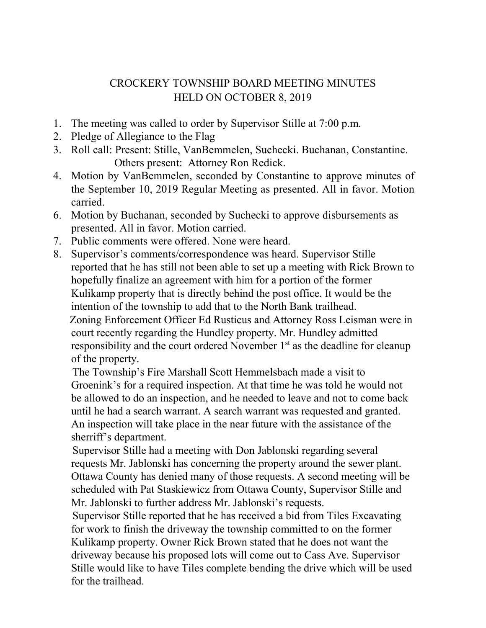## CROCKERY TOWNSHIP BOARD MEETING MINUTES HELD ON OCTOBER 8, 2019

- 1. The meeting was called to order by Supervisor Stille at 7:00 p.m.
- 2. Pledge of Allegiance to the Flag
- 3. Roll call: Present: Stille, VanBemmelen, Suchecki. Buchanan, Constantine. Others present: Attorney Ron Redick.
- 4. Motion by VanBemmelen, seconded by Constantine to approve minutes of the September 10, 2019 Regular Meeting as presented. All in favor. Motion carried.
- 6. Motion by Buchanan, seconded by Suchecki to approve disbursements as presented. All in favor. Motion carried.
- 7. Public comments were offered. None were heard.
- 8. Supervisor's comments/correspondence was heard. Supervisor Stille reported that he has still not been able to set up a meeting with Rick Brown to hopefully finalize an agreement with him for a portion of the former Kulikamp property that is directly behind the post office. It would be the intention of the township to add that to the North Bank trailhead. Zoning Enforcement Officer Ed Rusticus and Attorney Ross Leisman were in court recently regarding the Hundley property. Mr. Hundley admitted responsibility and the court ordered November  $1<sup>st</sup>$  as the deadline for cleanup of the property.

 The Township's Fire Marshall Scott Hemmelsbach made a visit to Groenink's for a required inspection. At that time he was told he would not be allowed to do an inspection, and he needed to leave and not to come back until he had a search warrant. A search warrant was requested and granted. An inspection will take place in the near future with the assistance of the sherriff's department.

 Supervisor Stille had a meeting with Don Jablonski regarding several requests Mr. Jablonski has concerning the property around the sewer plant. Ottawa County has denied many of those requests. A second meeting will be scheduled with Pat Staskiewicz from Ottawa County, Supervisor Stille and Mr. Jablonski to further address Mr. Jablonski's requests.

 Supervisor Stille reported that he has received a bid from Tiles Excavating for work to finish the driveway the township committed to on the former Kulikamp property. Owner Rick Brown stated that he does not want the driveway because his proposed lots will come out to Cass Ave. Supervisor Stille would like to have Tiles complete bending the drive which will be used for the trailhead.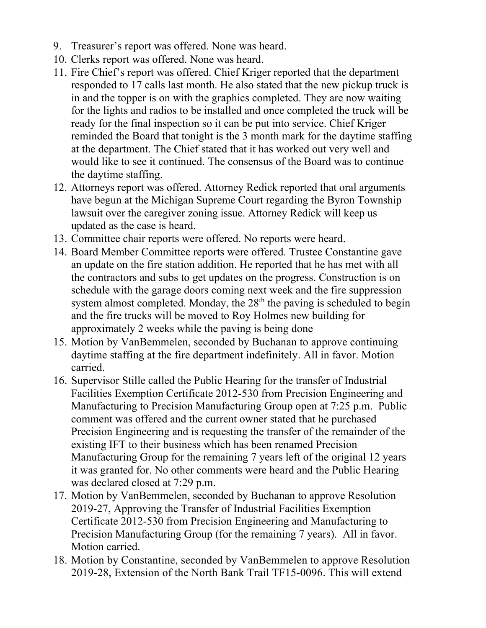- 9. Treasurer's report was offered. None was heard.
- 10. Clerks report was offered. None was heard.
- 11. Fire Chief's report was offered. Chief Kriger reported that the department responded to 17 calls last month. He also stated that the new pickup truck is in and the topper is on with the graphics completed. They are now waiting for the lights and radios to be installed and once completed the truck will be ready for the final inspection so it can be put into service. Chief Kriger reminded the Board that tonight is the 3 month mark for the daytime staffing at the department. The Chief stated that it has worked out very well and would like to see it continued. The consensus of the Board was to continue the daytime staffing.
- 12. Attorneys report was offered. Attorney Redick reported that oral arguments have begun at the Michigan Supreme Court regarding the Byron Township lawsuit over the caregiver zoning issue. Attorney Redick will keep us updated as the case is heard.
- 13. Committee chair reports were offered. No reports were heard.
- 14. Board Member Committee reports were offered. Trustee Constantine gave an update on the fire station addition. He reported that he has met with all the contractors and subs to get updates on the progress. Construction is on schedule with the garage doors coming next week and the fire suppression system almost completed. Monday, the  $28<sup>th</sup>$  the paving is scheduled to begin and the fire trucks will be moved to Roy Holmes new building for approximately 2 weeks while the paving is being done
- 15. Motion by VanBemmelen, seconded by Buchanan to approve continuing daytime staffing at the fire department indefinitely. All in favor. Motion carried.
- 16. Supervisor Stille called the Public Hearing for the transfer of Industrial Facilities Exemption Certificate 2012-530 from Precision Engineering and Manufacturing to Precision Manufacturing Group open at 7:25 p.m. Public comment was offered and the current owner stated that he purchased Precision Engineering and is requesting the transfer of the remainder of the existing IFT to their business which has been renamed Precision Manufacturing Group for the remaining 7 years left of the original 12 years it was granted for. No other comments were heard and the Public Hearing was declared closed at 7:29 p.m.
- 17. Motion by VanBemmelen, seconded by Buchanan to approve Resolution 2019-27, Approving the Transfer of Industrial Facilities Exemption Certificate 2012-530 from Precision Engineering and Manufacturing to Precision Manufacturing Group (for the remaining 7 years). All in favor. Motion carried.
- 18. Motion by Constantine, seconded by VanBemmelen to approve Resolution 2019-28, Extension of the North Bank Trail TF15-0096. This will extend